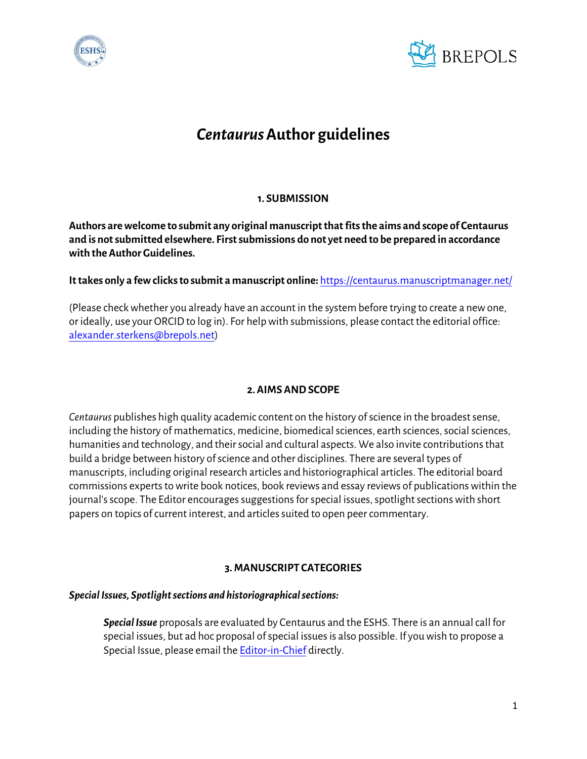



# *Centaurus* **Author guidelines**

# **1. SUBMISSION**

**Authors are welcome to submit any original manuscript that fits the aims and scope of Centaurus and is not submitted elsewhere. First submissions do not yet need to be prepared in accordance with the Author Guidelines.** 

## **It takes only a few clicks to submit a manuscript online:** <https://centaurus.manuscriptmanager.net/>

(Please check whether you already have an account in the system before trying to create a new one, or ideally, use your ORCID to log in). For help with submissions, please contact the editorial office: [alexander.sterkens@brepols.net\)](mailto:alexander.sterkens@brepols.net)

## **2. AIMS AND SCOPE**

*Centaurus* publishes high quality academic content on the history of science in the broadest sense, including the history of mathematics, medicine, biomedical sciences, earth sciences, social sciences, humanities and technology, and their social and cultural aspects. We also invite contributions that build a bridge between history of science and other disciplines. There are several types of manuscripts, including original research articles and historiographical articles. The editorial board commissions experts to write book notices, book reviews and essay reviews of publications within the journal's scope. The Editor encourages suggestions for special issues, spotlight sections with short papers on topics of current interest, and articles suited to open peer commentary.

#### **3. MANUSCRIPT CATEGORIES**

#### *Special Issues, Spotlight sections and historiographical sections:*

*Special Issue* proposals are evaluated by Centaurus and the ESHS. There is an annual call for special issues, but ad hoc proposal of special issues is also possible. If you wish to propose a Special Issue, please email the [Editor-in-Chief](mailto:EiC.Centaurus@zoho.eu) directly.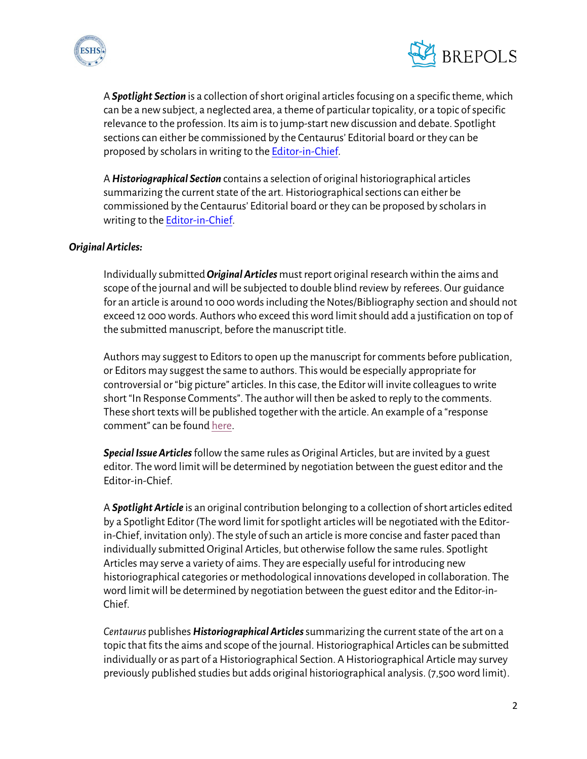



A *Spotlight Section* is a collection of short original articles focusing on a specific theme, which can be a new subject, a neglected area, a theme of particular topicality, or a topic of specific relevance to the profession. Its aim is to jump-start new discussion and debate. Spotlight sections can either be commissioned by the Centaurus' Editorial board or they can be proposed by scholars in writing to th[e Editor-in-Chief.](mailto:eic.centaurus@zoho.eu)

A *Historiographical Section* contains a selection of original historiographical articles summarizing the current state of the art. Historiographical sections can either be commissioned by the Centaurus' Editorial board or they can be proposed by scholars in writing to th[e Editor-in-Chief.](mailto:eic.centaurus@zoho.eu)

## *Original Articles:*

Individually submitted*Original Articles* must report original research within the aims and scope of the journal and will be subjected to double blind review by referees. Our guidance for an article is around 10 000 words including the Notes/Bibliography section and should not exceed 12 000 words. Authors who exceed this word limit should add a justification on top of the submitted manuscript, before the manuscript title.

Authors may suggest to Editors to open up the manuscript for comments before publication, or Editors may suggest the same to authors. This would be especially appropriate for controversial or "big picture" articles. In this case, the Editor will invite colleagues to write short "In Response Comments". The author will then be asked to reply to the comments. These short texts will be published together with the article. An example of a "response comment" can be found [here.](https://onlinelibrary.wiley.com/doi/10.1111/j.1600-0498.2012.00262.x)

*Special Issue Articles* follow the same rules as Original Articles, but are invited by a guest editor. The word limit will be determined by negotiation between the guest editor and the Editor-in-Chief.

A *Spotlight Article* is an original contribution belonging to a collection of short articles edited by a Spotlight Editor (The word limit for spotlight articles will be negotiated with the Editorin-Chief, invitation only). The style of such an article is more concise and faster paced than individually submitted Original Articles, but otherwise follow the same rules. Spotlight Articles may serve a variety of aims. They are especially useful for introducing new historiographical categories or methodological innovations developed in collaboration. The word limit will be determined by negotiation between the guest editor and the Editor-in-Chief.

*Centaurus* publishes *Historiographical Articles*summarizing the current state of the art on a topic that fits the aims and scope of the journal. Historiographical Articles can be submitted individually or as part of a Historiographical Section. A Historiographical Article may survey previously published studies but adds original historiographical analysis. (7,500 word limit).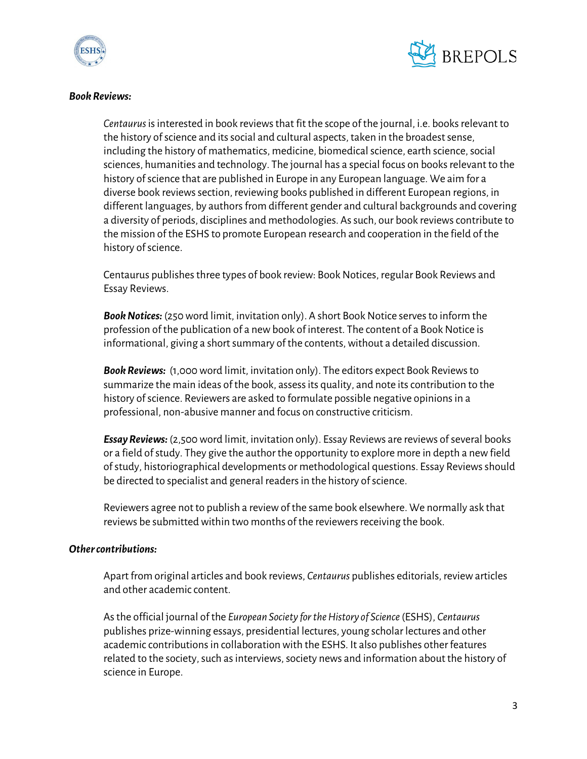



#### *Book Reviews:*

*Centaurus* is interested in book reviews that fit the scope of the journal, i.e. books relevant to the history of science and its social and cultural aspects, taken in the broadest sense, including the history of mathematics, medicine, biomedical science, earth science, social sciences, humanities and technology. The journal has a special focus on books relevant to the history of science that are published in Europe in any European language. We aim for a diverse book reviews section, reviewing books published in different European regions, in different languages, by authors from different gender and cultural backgrounds and covering a diversity of periods, disciplines and methodologies. As such, our book reviews contribute to the mission of the ESHS to promote European research and cooperation in the field of the history of science.

Centaurus publishes three types of book review: Book Notices, regular Book Reviews and Essay Reviews.

*Book Notices:* (250 word limit, invitation only). A short Book Notice serves to inform the profession of the publication of a new book of interest. The content of a Book Notice is informational, giving a short summary of the contents, without a detailed discussion.

*Book Reviews:* (1,000 word limit, invitation only). The editors expect Book Reviews to summarize the main ideas of the book, assess its quality, and note its contribution to the history of science. Reviewers are asked to formulate possible negative opinions in a professional, non-abusive manner and focus on constructive criticism.

*Essay Reviews:* (2,500 word limit, invitation only). Essay Reviews are reviews of several books or a field of study. They give the author the opportunity to explore more in depth a new field of study, historiographical developments or methodological questions. Essay Reviews should be directed to specialist and general readers in the history of science.

Reviewers agree not to publish a review of the same book elsewhere. We normally ask that reviews be submitted within two months of the reviewers receiving the book.

#### *Other contributions:*

Apart from original articles and book reviews, *Centaurus* publishes editorials, review articles and other academic content.

As the official journal of the *European Society for the History of Science*(ESHS), *Centaurus* publishes prize-winning essays, presidential lectures, young scholar lectures and other academic contributions in collaboration with the ESHS. It also publishes other features related to the society, such as interviews, society news and information about the history of science in Europe.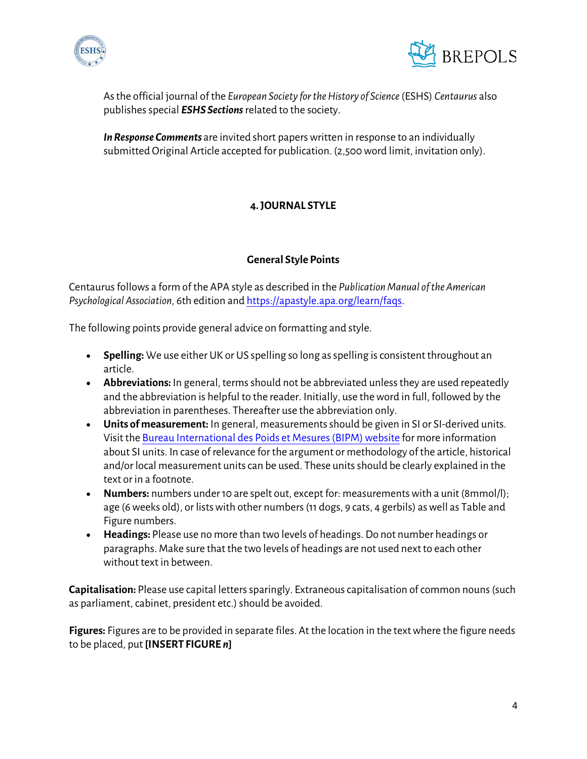



Asthe official journal of the *European Society for the History of Science*(ESHS) *Centaurus* also publishes special *ESHS Sections* related to the society.

*In Response Comments* are invited short papers written in response to an individually submitted Original Article accepted for publication. (2,500 word limit, invitation only).

# **4. JOURNAL STYLE**

## **General Style Points**

Centaurus follows a form of the APA style as described in the *Publication Manual of the American Psychological Association,* 6th edition an[d https://apastyle.apa.org/learn/faqs.](https://apastyle.apa.org/learn/faqs)

The following points provide general advice on formatting and style.

- **Spelling:** We use either UK or US spelling so long as spelling is consistent throughout an article.
- **Abbreviations:** In general, terms should not be abbreviated unless they are used repeatedly and the abbreviation is helpful to the reader. Initially, use the word in full, followed by the abbreviation in parentheses. Thereafter use the abbreviation only.
- **Units of measurement:** In general, measurements should be given in SI or SI-derived units. Visit th[e Bureau International des Poids et Mesures \(BIPM\) website](http://www.bipm.org/en/about-us/) for more information about SI units. In case of relevance for the argument or methodology of the article, historical and/or local measurement units can be used. These units should be clearly explained in the text or in a footnote.
- **Numbers:** numbers under 10 are spelt out, except for: measurements with a unit (8mmol/l); age (6 weeks old), or lists with other numbers (11 dogs, 9 cats, 4 gerbils) as well as Table and Figure numbers.
- **Headings:** Please use no more than two levels of headings. Do not number headings or paragraphs. Make sure that the two levels of headings are not used next to each other without text in between

**Capitalisation:** Please use capital letters sparingly. Extraneous capitalisation of common nouns (such as parliament, cabinet, president etc.) should be avoided.

**Figures:** Figures are to be provided in separate files. At the location in the text where the figure needs to be placed, put **[INSERT FIGURE** *n***]**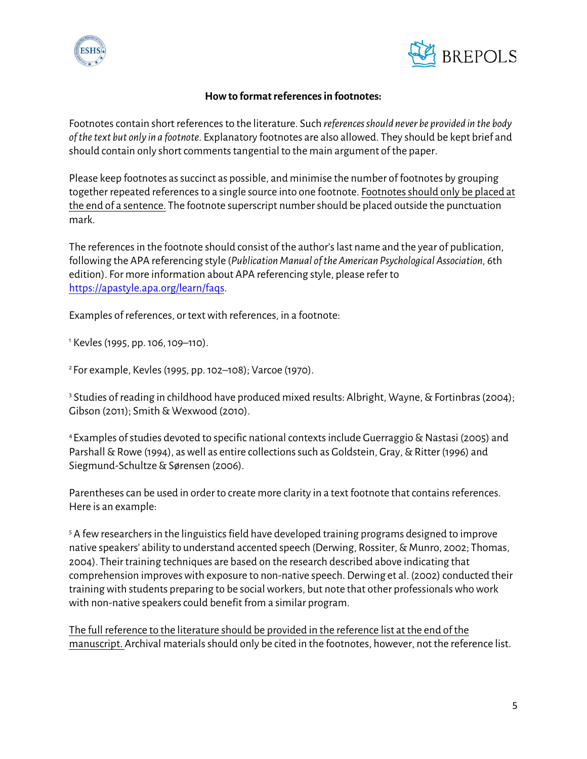



#### **How to format references in footnotes:**

Footnotes contain short references to the literature. Such *references should never be provided in the body of the text but only in a footnote*. Explanatory footnotes are also allowed. They should be kept brief and should contain only short comments tangential to the main argument of the paper.

Please keep footnotes as succinct as possible, and minimise the number of footnotes by grouping together repeated references to a single source into one footnote. Footnotes should only be placed at the end of a sentence. The footnote superscript number should be placed outside the punctuation mark.

The references in the footnote should consist of the author's last name and the year of publication, following the APA referencing style (*Publication Manual of the American Psychological Association,* 6th edition). For more information about APA referencing style, please refer to [https://apastyle.apa.org/learn/faqs.](https://apastyle.apa.org/learn/faqs)

Examples of references, or text with references, in a footnote:

<sup>1</sup> Kevles (1995, pp. 106, 109–110).

2 For example, Kevles (1995, pp. 102–108); Varcoe (1970).

<sup>3</sup> Studies of reading in childhood have produced mixed results: Albright, Wayne, & Fortinbras (2004); Gibson (2011); Smith & Wexwood (2010).

4 Examples of studies devoted to specific national contexts include Guerraggio & Nastasi (2005) and Parshall & Rowe (1994), as well as entire collections such as Goldstein, Gray, & Ritter (1996) and Siegmund-Schultze & Sørensen (2006).

Parentheses can be used in order to create more clarity in a text footnote that contains references. Here is an example:

<sup>5</sup> A few researchers in the linguistics field have developed training programs designed to improve native speakers' ability to understand accented speech (Derwing, Rossiter, & Munro, 2002; Thomas, 2004). Their training techniques are based on the research described above indicating that comprehension improves with exposure to non-native speech. Derwing et al. (2002) conducted their training with students preparing to be social workers, but note that other professionals who work with non-native speakers could benefit from a similar program.

The full reference to the literature should be provided in the reference list at the end of the manuscript. Archival materials should only be cited in the footnotes, however, not the reference list.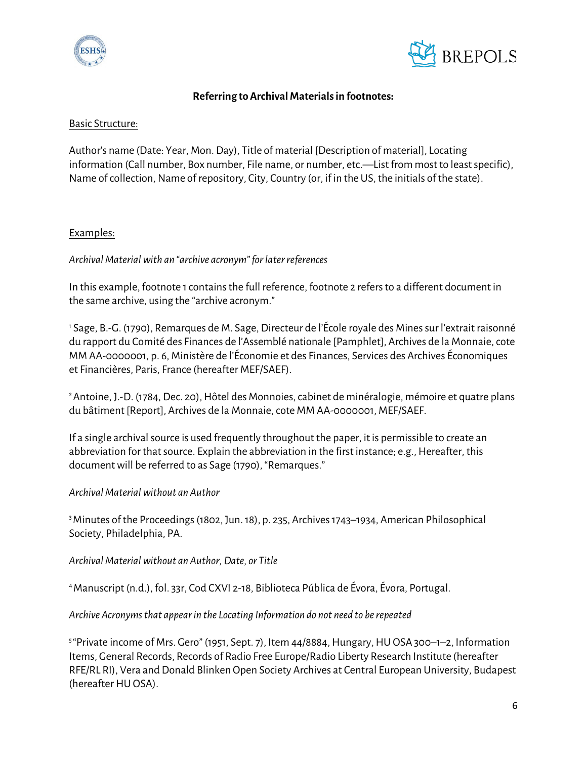



#### **Referring to Archival Materials in footnotes:**

#### Basic Structure:

Author's name (Date: Year, Mon. Day), Title of material [Description of material], Locating information (Call number, Box number, File name, or number, etc.—List from most to least specific), Name of collection, Name of repository, City, Country (or, if in the US, the initials of the state).

## Examples:

## *Archival Material with an "archive acronym" for later references*

In this example, footnote 1 contains the full reference, footnote 2 refers to a different document in the same archive, using the "archive acronym."

<sup>1</sup> Sage, B.-G. (1790), Remarques de M. Sage, Directeur de l'École royale des Mines sur l'extrait raisonné du rapport du Comité des Finances de l'Assemblé nationale [Pamphlet], Archives de la Monnaie, cote MM AA-0000001, p. 6, Ministère de l'Économie et des Finances, Services des Archives Économiques et Financières, Paris, France (hereafter MEF/SAEF).

2 Antoine, J.-D. (1784, Dec. 20), Hôtel des Monnoies, cabinet de minéralogie, mémoire et quatre plans du bâtiment [Report], Archives de la Monnaie, cote MM AA-0000001, MEF/SAEF.

If a single archival source is used frequently throughout the paper, it is permissible to create an abbreviation for that source. Explain the abbreviation in the first instance; e.g., Hereafter, this document will be referred to as Sage (1790), "Remarques."

#### *Archival Material without an Author*

3 Minutes of the Proceedings (1802, Jun. 18), p. 235, Archives 1743–1934, American Philosophical Society, Philadelphia, PA.

#### *Archival Material without an Author, Date, or Title*

4 Manuscript (n.d.), fol. 33r, Cod CXVI 2-18, Biblioteca Pública de Évora, Évora, Portugal.

#### *Archive Acronyms that appear in the Locating Information do not need to be repeated*

5 "Private income of Mrs. Gero" (1951, Sept. 7), Item 44/8884, Hungary, HU OSA 300–1–2, Information Items, General Records, Records of Radio Free Europe/Radio Liberty Research Institute (hereafter RFE/RL RI), Vera and Donald Blinken Open Society Archives at Central European University, Budapest (hereafter HU OSA).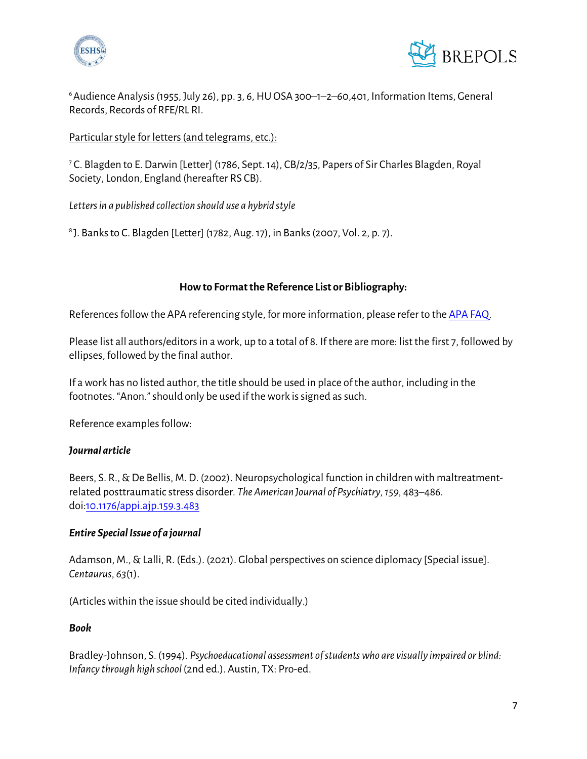



6 Audience Analysis (1955, July 26), pp. 3, 6, HU OSA 300–1–2–60,401, Information Items, General Records, Records of RFE/RL RI.

## Particular style for letters (and telegrams, etc.):

<sup>7</sup> C. Blagden to E. Darwin [Letter] (1786, Sept. 14), CB/2/35, Papers of Sir Charles Blagden, Royal Society, London, England (hereafter RS CB).

*Letters in a published collection should use a hybrid style*

8 J. Banks to C. Blagden [Letter] (1782, Aug. 17), in Banks (2007, Vol. 2, p. 7).

## **How to Format the Reference List or Bibliography:**

References follow the APA referencing style, for more information, please refer to th[e APA FAQ.](https://apastyle.apa.org/learn/faqs)

Please list all authors/editors in a work, up to a total of 8. If there are more: list the first 7, followed by ellipses, followed by the final author.

If a work has no listed author, the title should be used in place of the author, including in the footnotes. "Anon." should only be used if the work is signed as such.

Reference examples follow:

#### *Journal article*

Beers, S. R., & De Bellis, M. D. (2002). Neuropsychological function in children with maltreatmentrelated posttraumatic stress disorder*. The American Journal of Psychiatry, 159,* 483*–*486*.*  doi[:10.1176/appi.ajp.159.3.483](https://doi.org/10.1176/appi.ajp.159.3.483)

#### *Entire Special Issue of a journal*

Adamson, M., & Lalli, R. (Eds.). (2021). Global perspectives on science diplomacy [Special issue]. *Centaurus*, *63*(1).

(Articles within the issue should be cited individually.)

#### *Book*

Bradley-Johnson, S. (1994). *Psychoeducational assessment of students who are visually impaired or blind: Infancy through high school* (2nd ed.). Austin, TX: Pro-ed.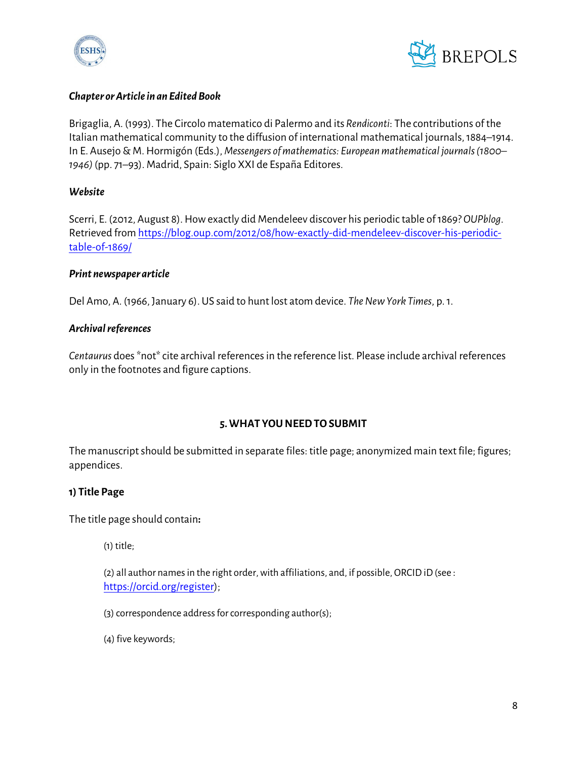



#### *Chapter or Article in an Edited Book*

Brigaglia, A. (1993). The Circolo matematico di Palermo and its *Rendiconti*: The contributions of the Italian mathematical community to the diffusion of international mathematical journals, 1884–1914. In E. Ausejo & M. Hormigón (Eds.), *Messengers of mathematics: European mathematical journals (1800– 1946)* (pp. 71–93). Madrid, Spain: Siglo XXI de España Editores.

## *Website*

Scerri, E. (2012, August 8). How exactly did Mendeleev discover his periodic table of 1869? *OUPblog*. Retrieved fro[m https://blog.oup.com/2012/08/how-exactly-did-mendeleev-discover-his-periodic](https://blog.oup.com/2012/08/how-exactly-did-mendeleev-discover-his-periodic-table-of-1869/)[table-of-1869/](https://blog.oup.com/2012/08/how-exactly-did-mendeleev-discover-his-periodic-table-of-1869/)

## *Print newspaper article*

Del Amo, A. (1966, January 6). US said to hunt lost atom device. *The New York Times*, p. 1.

## *Archival references*

*Centaurus* does \*not\* cite archival references in the reference list. Please include archival references only in the footnotes and figure captions.

## **5. WHAT YOU NEED TO SUBMIT**

The manuscript should be submitted in separate files: title page; anonymized main text file; figures; appendices.

## **1) Title Page**

The title page should contain**:**

(1) title;

(2) all author names in the right order, with affiliations, and, if possible, ORCID iD(see : [https://orcid.org/register\)](https://orcid.org/register);

(3) correspondence address for corresponding author(s);

(4) five keywords;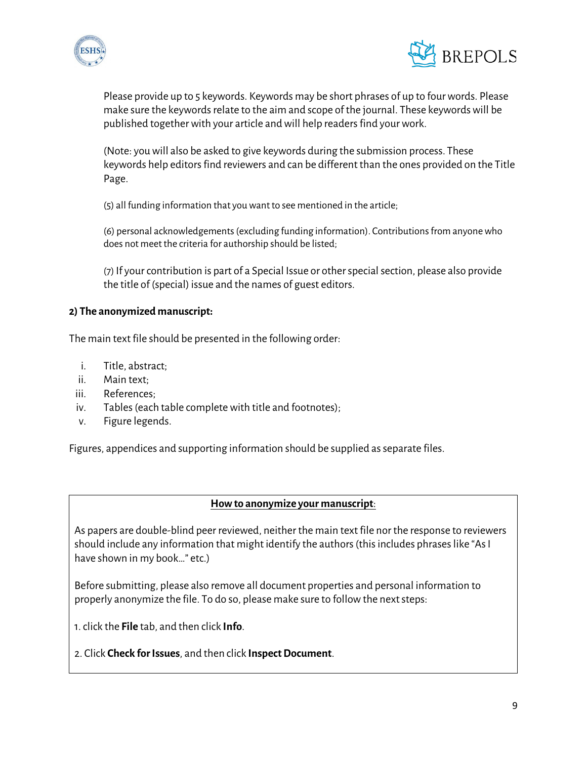



Please provide up to 5 keywords. Keywords may be short phrases of up to four words. Please make sure the keywords relate to the aim and scope of the journal. These keywords will be published together with your article and will help readers find your work.

(Note: you will also be asked to give keywords during the submission process. These keywords help editors find reviewers and can be different than the ones provided on the Title Page.

(5) all funding information that you want to see mentioned in the article;

(6) personal acknowledgements (excluding funding information). Contributions from anyone who does not meet the criteria for authorship should be listed;

(7) If your contribution is part of a Special Issue or other special section, please also provide the title of (special) issue and the names of guest editors.

## **2) The anonymized manuscript:**

The main text file should be presented in the following order:

- i. Title, abstract;
- ii. Main text;
- iii. References;
- iv. Tables (each table complete with title and footnotes);
- v. Figure legends.

Figures, appendices and supporting information should be supplied as separate files.

#### **How to anonymize your manuscript**:

As papers are double-blind peer reviewed, neither the main text file nor the response to reviewers should include any information that might identify the authors (this includes phrases like "As I have shown in my book…" etc.)

Before submitting, please also remove all document properties and personal information to properly anonymize the file. To do so, please make sure to follow the next steps:

1. click the **File** tab, and then click **Info**.

2. Click **Check for Issues**, and then click **Inspect Document**.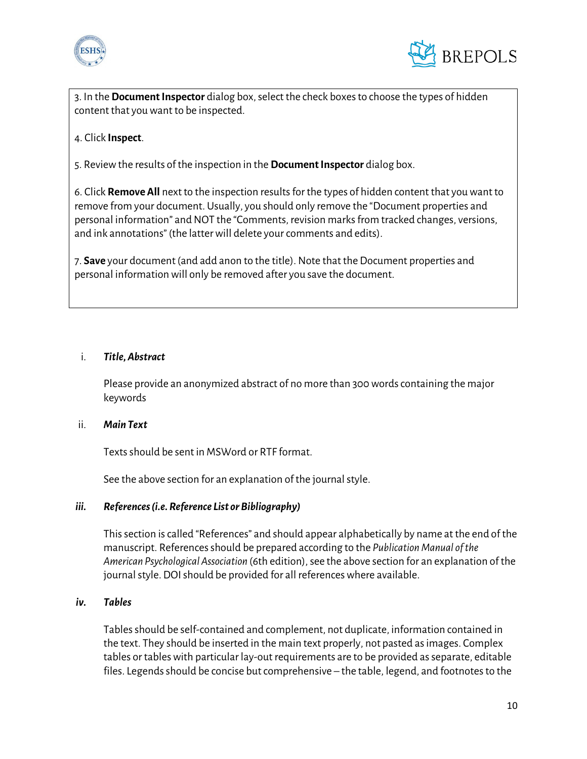



3. In the **Document Inspector** dialog box, select the check boxes to choose the types of hidden content that you want to be inspected.

## 4. Click **Inspect**.

5. Review the results of the inspection in the **Document Inspector** dialog box.

6. Click **Remove All** next to the inspection results for the types of hidden content that you want to remove from your document. Usually, you should only remove the "Document properties and personal information" and NOT the "Comments, revision marks from tracked changes, versions, and ink annotations" (the latter will delete your comments and edits).

7. **Save** your document (and add anon to the title). Note that the Document properties and personal information will only be removed after you save the document.

#### i. *Title, Abstract*

Please provide an anonymized abstract of no more than 300 words containing the major keywords

#### ii. *Main Text*

Texts should be sent in MSWord or RTF format.

See the above section for an explanation of the journal style.

#### *iii. References (i.e. Reference List or Bibliography)*

This section is called "References" and should appear alphabetically by name at the end of the manuscript. References should be prepared according to the *Publication Manual of the American Psychological Association* (6th edition), see the above section for an explanation of the journal style.DOI should be provided for all references where available.

#### *iv. Tables*

Tables should be self-contained and complement, not duplicate, information contained in the text. They should be inserted in the main text properly, not pasted as images. Complex tables or tables with particular lay-out requirements are to be provided as separate, editable files. Legends should be concise but comprehensive – the table, legend, and footnotes to the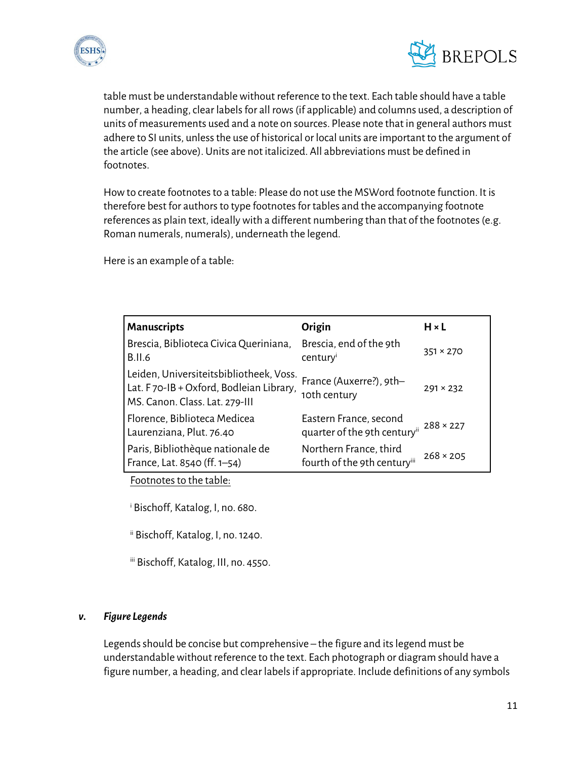



table must be understandable without reference to the text. Each table should have a table number, a heading, clear labels for all rows(if applicable) and columns used, a description of units of measurements used and a note on sources. Please note that in general authors must adhere to SI units, unless the use of historical or local units are important to the argument of the article (see above). Units are not italicized. All abbreviations must be defined in footnotes.

How to create footnotes to a table: Please do not use the MSWord footnote function. It is therefore best for authors to type footnotes for tables and the accompanying footnote references as plain text, ideally with a different numbering than that of the footnotes (e.g. Roman numerals, numerals), underneath the legend.

Here is an example of a table:

| <b>Manuscripts</b>                                                                                                   | Origin                                                 | $H \times L$     |
|----------------------------------------------------------------------------------------------------------------------|--------------------------------------------------------|------------------|
| Brescia, Biblioteca Civica Queriniana,<br><b>B.II.6</b>                                                              | Brescia, end of the 9th<br>century                     | $351 \times 270$ |
| Leiden, Universiteitsbibliotheek, Voss.<br>Lat. F70-IB + Oxford, Bodleian Library,<br>MS. Canon. Class. Lat. 279-III | France (Auxerre?), 9th-<br>10th century                | $291 \times 232$ |
| Florence, Biblioteca Medicea<br>Laurenziana, Plut. 76.40                                                             | Eastern France, second<br>quarter of the 9th centuryii | $288 \times 227$ |
| Paris, Bibliothèque nationale de<br>France, Lat. 8540 (ff. 1-54)                                                     | Northern France, third<br>fourth of the 9th centuryiii | $268 \times 205$ |

Footnotes to the table:

i Bischoff, Katalog, I, no. 680.

ii Bischoff, Katalog, I, no.1240.

iii Bischoff, Katalog, III, no. 4550.

#### *v. Figure Legends*

Legends should be concise but comprehensive – the figure and its legend must be understandable without reference to the text. Each photograph or diagram should have a figure number, a heading, and clear labels if appropriate. Include definitions of any symbols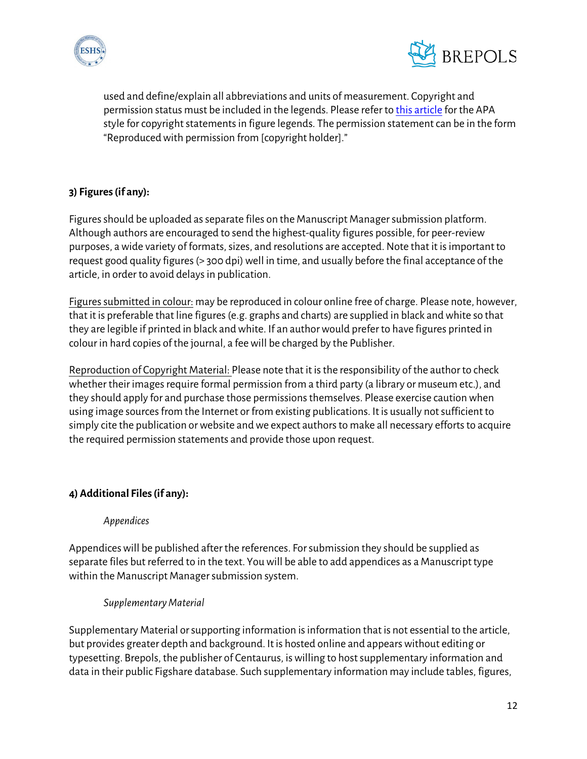



used and define/explain all abbreviations and units of measurement. Copyright and permission status must be included in the legends. Please refer to [this article](https://blog.apastyle.org/apastyle/2016/01/navigating-copyright-part-4.html) for the APA style for copyright statements in figure legends. The permission statement can be in the form "Reproduced with permission from [copyright holder]."

# **3) Figures(if any):**

Figures should be uploaded asseparate files on the Manuscript Manager submission platform. Although authors are encouraged to send the highest-quality figures possible, for peer-review purposes, a wide variety of formats, sizes, and resolutions are accepted. Note that it is important to request good quality figures (> 300 dpi) well in time, and usually before the final acceptance of the article, in order to avoid delays in publication.

Figures submitted in colour: may be reproduced in colour online free of charge. Please note, however, that it is preferable that line figures (e.g. graphs and charts) are supplied in black and white so that they are legible if printed in black and white. If an author would prefer to have figures printed in colour in hard copies of the journal, a fee will be charged by the Publisher.

Reproduction of Copyright Material: Please note that it is the responsibility of the author to check whether their images require formal permission from a third party (a library or museum etc.), and they should apply for and purchase those permissions themselves. Please exercise caution when using image sources from the Internet or from existing publications. It is usually not sufficient to simply cite the publication or website and we expect authors to make all necessary efforts to acquire the required permission statements and provide those upon request.

## **4) Additional Files(if any):**

## *Appendices*

Appendices will be published after the references. For submission they should be supplied as separate files but referred to in the text. You will be able to add appendices as a Manuscript type within the Manuscript Manager submission system.

## *Supplementary Material*

Supplementary Material orsupporting information is information that is not essential to the article, but provides greater depth and background. It is hosted online and appears without editing or typesetting. Brepols, the publisher of Centaurus, is willing to host supplementary information and data in their public Figshare database. Such supplementary information may include tables, figures,